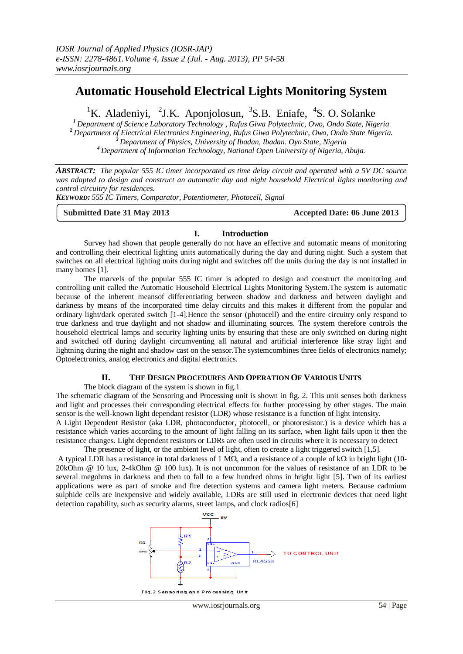# **Automatic Household Electrical Lights Monitoring System**

<sup>1</sup>K. Aladeniyi, <sup>2</sup>J.K. Aponjolosun, <sup>3</sup>S.B. Eniafe, <sup>4</sup>S.O. Solanke

*Department of Science Laboratory Technology , Rufus Giwa Polytechnic, Owo, Ondo State, Nigeria Department of Electrical Electronics Engineering, Rufus Giwa Polytechnic, Owo, Ondo State Nigeria. Department of Physics, University of Ibadan, Ibadan. Oyo State, Nigeria Department of Information Technology, National Open University of Nigeria, Abuja.*

*ABSTRACT: The popular 555 IC timer incorporated as time delay circuit and operated with a 5V DC source was adapted to design and construct an automatic day and night household Electrical lights monitoring and control circuitry for residences.*

*KEYWORD: 555 IC Timers, Comparator, Potentiometer, Photocell, Signal*

#### **Submitted Date 31 May 2013 Accepted Date: 06 June 2013**

### **I. Introduction**

Survey had shown that people generally do not have an effective and automatic means of monitoring and controlling their electrical lighting units automatically during the day and during night. Such a system that switches on all electrical lighting units during night and switches off the units during the day is not installed in many homes [1].

The marvels of the popular 555 IC timer is adopted to design and construct the monitoring and controlling unit called the Automatic Household Electrical Lights Monitoring System.The system is automatic because of the inherent meansof differentiating between shadow and darkness and between daylight and darkness by means of the incorporated time delay circuits and this makes it different from the popular and ordinary light/dark operated switch [1-4].Hence the sensor (photocell) and the entire circuitry only respond to true darkness and true daylight and not shadow and illuminating sources. The system therefore controls the household electrical lamps and security lighting units by ensuring that these are only switched on during night and switched off during daylight circumventing all natural and artificial interference like stray light and lightning during the night and shadow cast on the sensor.The systemcombines three fields of electronics namely; Optoelectronics, analog electronics and digital electronics.

# **II. THE DESIGN PROCEDURES AND OPERATION OF VARIOUS UNITS**

The block diagram of the system is shown in fig.1

The schematic diagram of the Sensoring and Processing unit is shown in fig. 2. This unit senses both darkness and light and processes their corresponding electrical effects for further processing by other stages. The main sensor is the well-known light dependant resistor (LDR) whose resistance is a function of light intensity.

A Light Dependent Resistor (aka LDR, photoconductor, photocell, or photoresistor.) is a device which has a resistance which varies according to the amount of light falling on its surface, when light falls upon it then the resistance changes. Light dependent resistors or LDRs are often used in circuits where it is necessary to detect The presence of light, or the ambient level of light, often to create a light triggered switch [1,5].

A typical LDR has a resistance in total darkness of 1 M $\Omega$ , and a resistance of a couple of k $\Omega$  in bright light (10-20kOhm @ 10 lux, 2-4kOhm @ 100 lux). It is not uncommon for the values of resistance of an LDR to be several megohms in darkness and then to fall to a few hundred ohms in bright light [5]. Two of its earliest applications were as part of smoke and fire detection systems and camera light meters. Because cadmium sulphide cells are inexpensive and widely available, LDRs are still used in electronic devices that need light detection capability, such as security alarms, street lamps, and clock radios[6]

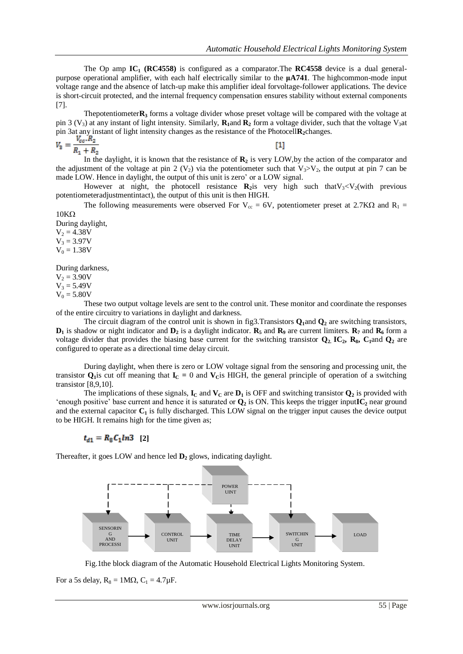The Op amp **IC<sup>1</sup> (RC4558)** is configured as a comparator.The **RC4558** device is a dual generalpurpose operational amplifier, with each half electrically similar to the **μA741**. The highcommon-mode input voltage range and the absence of latch-up make this amplifier ideal forvoltage-follower applications. The device is short-circuit protected, and the internal frequency compensation ensures stability without external components [7].

Thepotentiometer**R<sup>3</sup>** forms a voltage divider whose preset voltage will be compared with the voltage at pin 3 ( $V_3$ ) at any instant of light intensity. Similarly,  $R_1$ and  $R_2$  form a voltage divider, such that the voltage  $V_3$ at pin 3at any instant of light intensity changes as the resistance of the Photocell**R2**changes.

$$
V_3 = \frac{V_{cc} \cdot K_2}{R_1 + R_2}
$$

[1]

In the daylight, it is known that the resistance of  $\mathbb{R}_2$  is very LOW, by the action of the comparator and the adjustment of the voltage at pin 2 (V<sub>2</sub>) via the potentiometer such that V<sub>3</sub>>V<sub>2</sub>, the output at pin 7 can be made LOW. Hence in daylight, the output of this unit is zero' or a LOW signal.

However at night, the photocell resistance  $\mathbf{R}_2$ is very high such that  $V_3 < V_2$  (with previous potentiometeradjustmentintact), the output of this unit is then HIGH.

The following measurements were observed For  $V_{cc} = 6V$ , potentiometer preset at 2.7K $\Omega$  and  $R_1$  =  $10K\Omega$ 

During daylight,  $V_2 = 4.38V$ 

 $V_3 = 3.97V$  $V_0 = 1.38V$ 

During darkness,

 $V_2 = 3.90V$  $V_3 = 5.49V$ 

 $V_0 = 5.80V$ 

These two output voltage levels are sent to the control unit. These monitor and coordinate the responses of the entire circuitry to variations in daylight and darkness.

The circuit diagram of the control unit is shown in fig3.Transistors **Q1**and **Q<sup>2</sup>** are switching transistors,  $D_1$  is shadow or night indicator and  $D_2$  is a daylight indicator.  $R_5$  and  $R_9$  are current limiters.  $R_7$  and  $R_6$  form a voltage divider that provides the biasing base current for the switching transistor  $\mathbf{Q}_2$ ,  $\mathbf{IC}_2$ ,  $\mathbf{R}_8$ ,  $\mathbf{C}_1$ and  $\mathbf{Q}_2$  are configured to operate as a directional time delay circuit.

During daylight, when there is zero or LOW voltage signal from the sensoring and processing unit, the transistor  $Q$ <sub>1</sub> is cut off meaning that  $I_C = 0$  and  $V_C$ is HIGH, the general principle of operation of a switching transistor [8,9,10].

The implications of these signals,  $\mathbf{I}_C$  and  $\mathbf{V}_C$  are  $\mathbf{D}_1$  is OFF and switching transistor  $\mathbf{Q}_2$  is provided with 'enough positive' base current and hence it is saturated or **Q<sup>2</sup>** is ON. This keeps the trigger input**IC<sup>2</sup>** near ground and the external capacitor **C<sup>1</sup>** is fully discharged. This LOW signal on the trigger input causes the device output to be HIGH. It remains high for the time given as;

$$
t_{d1}=R_8C_1ln3\quad [2]
$$

Thereafter, it goes LOW and hence led **D<sup>2</sup>** glows, indicating daylight.



Fig.1the block diagram of the Automatic Household Electrical Lights Monitoring System.

For a 5s delay,  $R_8 = 1 \text{M}\Omega$ ,  $C_1 = 4.7 \mu\text{F}$ .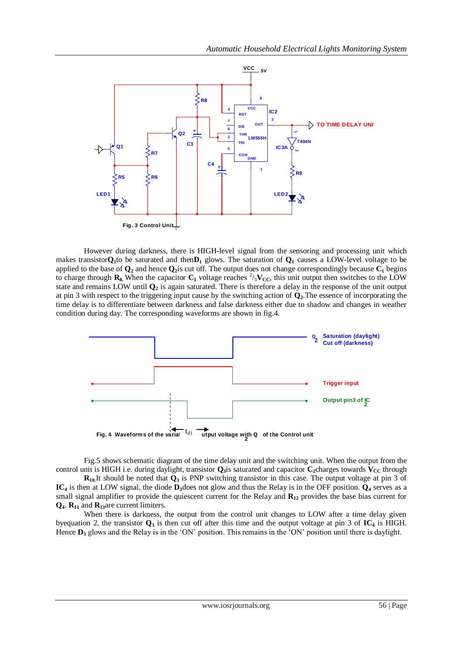

However during darkness, there is HIGH-level signal from the sensoring and processing unit which makes transistor $Q_1$ to be saturated and then $D_1$  glows. The saturation of  $Q_1$  causes a LOW-level voltage to be applied to the base of  $\mathbf{Q}_2$  and hence  $\mathbf{Q}_2$  is cut off. The output does not change correspondingly because  $\mathbf{C}_1$  begins to charge through  $\mathbf{R}_8$ . When the capacitor  $\mathbf{C}_1$  voltage reaches  $\frac{2}{3}\mathbf{V_{CC}}$ , this unit output then switches to the LOW state and remains LOW until **Q<sup>2</sup>** is again saturated. There is therefore a delay in the response of the unit output at pin 3 with respect to the triggering input cause by the switching action of **Q2**.The essence of incorporating the time delay is to differentiate between darkness and false darkness either due to shadow and changes in weather condition during day. The corresponding waveforms are shown in fig.4.



Fig.5 shows schematic diagram of the time delay unit and the switching unit. When the output from the control unit is HIGH i.e. during daylight, transistor  $\mathbf{Q}_3$ is saturated and capacitor  $\mathbf{C}_2$ charges towards  $\mathbf{V}_{CC}$  through

**R10.**It should be noted that **Q<sup>3</sup>** is PNP switching transistor in this case. The output voltage at pin 3 of **IC<sup>4</sup>** is then at LOW signal, the diode **D3**does not glow and thus the Relay is in the OFF position. **Q<sup>4</sup>** serves as a small signal amplifier to provide the quiescent current for the Relay and **R<sup>12</sup>** provides the base bias current for **Q4**. **R<sup>11</sup>** and **R13**are current limiters.

When there is darkness, the output from the control unit changes to LOW after a time delay given by equation 2, the transistor  $Q_3$  is then cut off after this time and the output voltage at pin 3 of  $IC_4$  is HIGH. Hence  $D_3$  glows and the Relay is in the 'ON' position. This remains in the 'ON' position until there is daylight.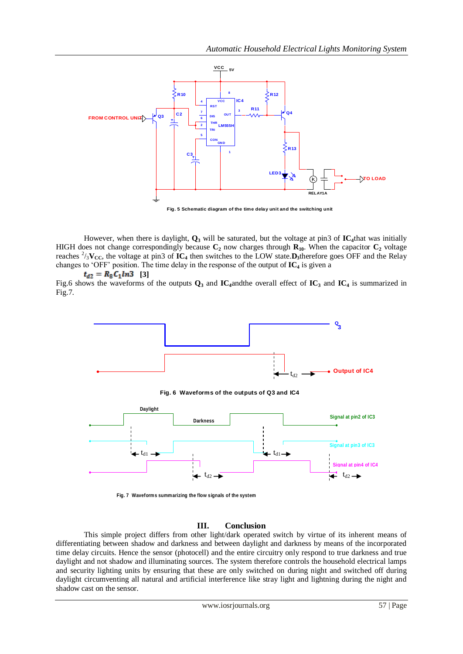

**Fig. 5 Schematic diagram of the time delay unit and the switching unit**

However, when there is daylight, **Q<sup>3</sup>** will be saturated, but the voltage at pin3 of **IC4**that was initially HIGH does not change correspondingly because  $C_2$  now charges through  $R_{10}$ . When the capacitor  $C_2$  voltage reaches  $\frac{2}{3}V_{\text{CC}}$ , the voltage at pin3 of **IC**<sub>4</sub> then switches to the LOW state. **D**<sub>3</sub>therefore goes OFF and the Relay changes to 'OFF' position. The time delay in the response of the output of **IC<sup>4</sup>** is given a

 $t_{d2} = R_8 C_1 ln3$  [3]

Fig.6 shows the waveforms of the outputs **Q<sup>3</sup>** and **IC4**andthe overall effect of **IC<sup>3</sup>** and **IC<sup>4</sup>** is summarized in Fig.7.



**Fig. 6 Waveforms of the outputs of Q3 and IC4**



**Fig. 7 Waveforms summarizing the flow signals of the system**

## **III. Conclusion**

This simple project differs from other light/dark operated switch by virtue of its inherent means of differentiating between shadow and darkness and between daylight and darkness by means of the incorporated time delay circuits. Hence the sensor (photocell) and the entire circuitry only respond to true darkness and true daylight and not shadow and illuminating sources. The system therefore controls the household electrical lamps and security lighting units by ensuring that these are only switched on during night and switched off during daylight circumventing all natural and artificial interference like stray light and lightning during the night and shadow cast on the sensor.